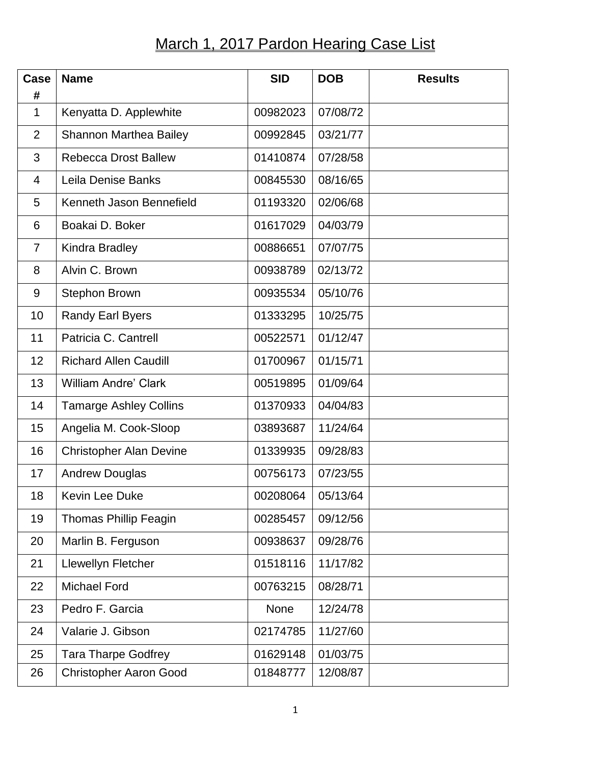## March 1, 2017 Pardon Hearing Case List

| <b>Case</b><br># | <b>Name</b>                    | <b>SID</b> | <b>DOB</b> | <b>Results</b> |
|------------------|--------------------------------|------------|------------|----------------|
| 1                | Kenyatta D. Applewhite         | 00982023   | 07/08/72   |                |
| $\overline{2}$   | <b>Shannon Marthea Bailey</b>  | 00992845   | 03/21/77   |                |
| 3                | <b>Rebecca Drost Ballew</b>    | 01410874   | 07/28/58   |                |
| 4                | Leila Denise Banks             | 00845530   | 08/16/65   |                |
| $\overline{5}$   | Kenneth Jason Bennefield       | 01193320   | 02/06/68   |                |
| 6                | Boakai D. Boker                | 01617029   | 04/03/79   |                |
| $\overline{7}$   | Kindra Bradley                 | 00886651   | 07/07/75   |                |
| 8                | Alvin C. Brown                 | 00938789   | 02/13/72   |                |
| 9                | Stephon Brown                  | 00935534   | 05/10/76   |                |
| 10               | <b>Randy Earl Byers</b>        | 01333295   | 10/25/75   |                |
| 11               | Patricia C. Cantrell           | 00522571   | 01/12/47   |                |
| 12               | <b>Richard Allen Caudill</b>   | 01700967   | 01/15/71   |                |
| 13               | <b>William Andre' Clark</b>    | 00519895   | 01/09/64   |                |
| 14               | <b>Tamarge Ashley Collins</b>  | 01370933   | 04/04/83   |                |
| 15               | Angelia M. Cook-Sloop          | 03893687   | 11/24/64   |                |
| 16               | <b>Christopher Alan Devine</b> | 01339935   | 09/28/83   |                |
| 17               | <b>Andrew Douglas</b>          | 00756173   | 07/23/55   |                |
| 18               | Kevin Lee Duke                 | 00208064   | 05/13/64   |                |
| 19               | <b>Thomas Phillip Feagin</b>   | 00285457   | 09/12/56   |                |
| 20               | Marlin B. Ferguson             | 00938637   | 09/28/76   |                |
| 21               | Llewellyn Fletcher             | 01518116   | 11/17/82   |                |
| 22               | <b>Michael Ford</b>            | 00763215   | 08/28/71   |                |
| 23               | Pedro F. Garcia                | None       | 12/24/78   |                |
| 24               | Valarie J. Gibson              | 02174785   | 11/27/60   |                |
| 25               | <b>Tara Tharpe Godfrey</b>     | 01629148   | 01/03/75   |                |
| 26               | <b>Christopher Aaron Good</b>  | 01848777   | 12/08/87   |                |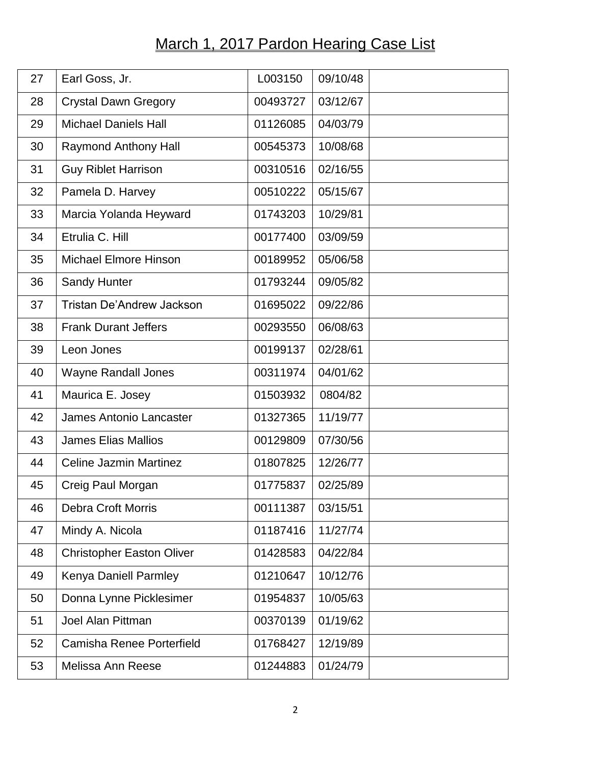## March 1, 2017 Pardon Hearing Case List

| 27 | Earl Goss, Jr.                   | L003150  | 09/10/48 |
|----|----------------------------------|----------|----------|
| 28 | <b>Crystal Dawn Gregory</b>      | 00493727 | 03/12/67 |
| 29 | <b>Michael Daniels Hall</b>      | 01126085 | 04/03/79 |
| 30 | <b>Raymond Anthony Hall</b>      | 00545373 | 10/08/68 |
| 31 | <b>Guy Riblet Harrison</b>       | 00310516 | 02/16/55 |
| 32 | Pamela D. Harvey                 | 00510222 | 05/15/67 |
| 33 | Marcia Yolanda Heyward           | 01743203 | 10/29/81 |
| 34 | Etrulia C. Hill                  | 00177400 | 03/09/59 |
| 35 | <b>Michael Elmore Hinson</b>     | 00189952 | 05/06/58 |
| 36 | Sandy Hunter                     | 01793244 | 09/05/82 |
| 37 | <b>Tristan De'Andrew Jackson</b> | 01695022 | 09/22/86 |
| 38 | <b>Frank Durant Jeffers</b>      | 00293550 | 06/08/63 |
| 39 | Leon Jones                       | 00199137 | 02/28/61 |
| 40 | <b>Wayne Randall Jones</b>       | 00311974 | 04/01/62 |
| 41 | Maurica E. Josey                 | 01503932 | 0804/82  |
| 42 | <b>James Antonio Lancaster</b>   | 01327365 | 11/19/77 |
| 43 | <b>James Elias Mallios</b>       | 00129809 | 07/30/56 |
| 44 | <b>Celine Jazmin Martinez</b>    | 01807825 | 12/26/77 |
| 45 | Creig Paul Morgan                | 01775837 | 02/25/89 |
| 46 | <b>Debra Croft Morris</b>        | 00111387 | 03/15/51 |
| 47 | Mindy A. Nicola                  | 01187416 | 11/27/74 |
| 48 | <b>Christopher Easton Oliver</b> | 01428583 | 04/22/84 |
| 49 | Kenya Daniell Parmley            | 01210647 | 10/12/76 |
| 50 | Donna Lynne Picklesimer          | 01954837 | 10/05/63 |
| 51 | Joel Alan Pittman                | 00370139 | 01/19/62 |
| 52 | Camisha Renee Porterfield        | 01768427 | 12/19/89 |
| 53 | Melissa Ann Reese                | 01244883 | 01/24/79 |